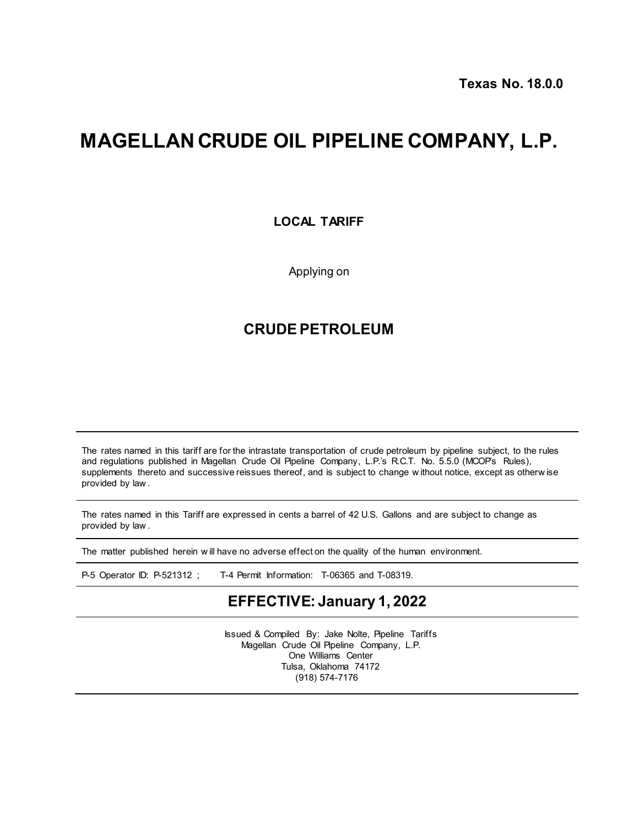# **MAGELLAN CRUDE OIL PIPELINE COMPANY, L.P.**

**LOCAL TARIFF**

Applying on

### **CRUDE PETROLEUM**

The rates named in this tariff are for the intrastate transportation of crude petroleum by pipeline subject, to the rules and regulations published in Magellan Crude Oil Pipeline Company, L.P.'s R.C.T. No. 5.5.0 (MCOP's Rules), supplements thereto and successive reissues thereof, and is subject to change w ithout notice, except as otherw ise provided by law .

The rates named in this Tariff are expressed in cents a barrel of 42 U.S. Gallons and are subject to change as provided by law .

The matter published herein w ill have no adverse effect on the quality of the human environment.

P-5 Operator ID: P-521312 ; T-4 Permit Information: T-06365 and T-08319.

## **EFFECTIVE: January 1, 2022**

Issued & Compiled By: Jake Nolte, Pipeline Tariffs Magellan Crude Oil Pipeline Company, L.P. One Williams Center Tulsa, Oklahoma 74172 (918) 574-7176